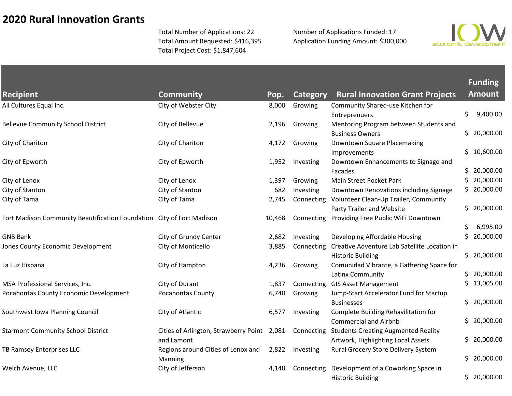## **2020 Rural Innovation Grants**

Total Number of Applications: 22 Total Amount Requested: \$416,395 Total Project Cost: \$1,847,604

Number of Applications Funded: 17 Application Funding Amount: \$300,000



**Funding** 

| <b>Recipient</b>                                                      | <b>Community</b>                            | Pop.   | <b>Category</b> | <b>Rural Innovation Grant Projects</b>       |     | <b>Amount</b> |
|-----------------------------------------------------------------------|---------------------------------------------|--------|-----------------|----------------------------------------------|-----|---------------|
| All Cultures Equal Inc.                                               | City of Webster City                        | 8,000  | Growing         | Community Shared-use Kitchen for             |     |               |
|                                                                       |                                             |        |                 | Entreprenuers                                | \$  | 9,400.00      |
| <b>Bellevue Community School District</b>                             | City of Bellevue                            | 2,196  | Growing         | Mentoring Program between Students and       |     |               |
|                                                                       |                                             |        |                 | <b>Business Owners</b>                       |     | \$20,000.00   |
| City of Chariton                                                      | City of Chariton                            | 4,172  | Growing         | Downtown Square Placemaking                  |     |               |
|                                                                       |                                             |        |                 | Improvements                                 |     | \$10,600.00   |
| City of Epworth                                                       | City of Epworth                             | 1,952  | Investing       | Downtown Enhancements to Signage and         |     |               |
|                                                                       |                                             |        |                 | Facades                                      |     | \$20,000.00   |
| City of Lenox                                                         | City of Lenox                               | 1,397  | Growing         | Main Street Pocket Park                      | \$  | 20,000.00     |
| City of Stanton                                                       | City of Stanton                             | 682    | Investing       | Downtown Renovations including Signage       |     | \$20,000.00   |
| City of Tama                                                          | City of Tama                                | 2,745  | Connecting      | Volunteer Clean-Up Trailer, Community        |     |               |
|                                                                       |                                             |        |                 | Party Trailer and Website                    |     | \$20,000.00   |
| Fort Madison Community Beautification Foundation City of Fort Madison |                                             | 10,468 | Connecting      | Providing Free Public WiFi Downtown          |     |               |
|                                                                       |                                             |        |                 |                                              | S   | 6,995.00      |
| <b>GNB Bank</b>                                                       | City of Grundy Center                       | 2,682  | Investing       | Developing Affordable Housing                |     | \$20,000.00   |
| Jones County Economic Development                                     | City of Monticello                          | 3,885  | Connecting      | Creative Adventure Lab Satellite Location in |     |               |
|                                                                       |                                             |        |                 | <b>Historic Building</b>                     |     | \$20,000.00   |
| La Luz Hispana                                                        | City of Hampton                             | 4,236  | Growing         | Comunidad Vibrante, a Gathering Space for    |     |               |
|                                                                       |                                             |        |                 | Latinx Community                             |     | \$20,000.00   |
| MSA Professional Services, Inc.                                       | City of Durant                              | 1,837  | Connecting      | <b>GIS Asset Management</b>                  |     | \$13,005.00   |
| Pocahontas County Economic Development                                | Pocahontas County                           | 6,740  | Growing         | Jump-Start Accelerator Fund for Startup      |     |               |
|                                                                       |                                             |        |                 | <b>Businesses</b>                            |     | \$20,000.00   |
| Southwest Iowa Planning Council                                       | City of Atlantic                            | 6,577  | Investing       | Complete Building Rehavilitation for         |     |               |
|                                                                       |                                             |        |                 | <b>Commercial and Airbnb</b>                 |     | \$20,000.00   |
| <b>Starmont Community School District</b>                             | Cities of Arlington, Strawberry Point 2,081 |        | Connecting      | <b>Students Creating Augmented Reality</b>   |     |               |
|                                                                       | and Lamont                                  |        |                 | Artwork, Highlighting Local Assets           |     | \$20,000.00   |
| TB Ramsey Enterprises LLC                                             | Regions around Cities of Lenox and          | 2,822  | Investing       | Rural Grocery Store Delivery System          |     |               |
|                                                                       | Manning                                     |        |                 |                                              | \$. | 20,000.00     |
| Welch Avenue, LLC                                                     | City of Jefferson                           | 4,148  | Connecting      | Development of a Coworking Space in          |     |               |
|                                                                       |                                             |        |                 | <b>Historic Building</b>                     |     | \$20,000.00   |